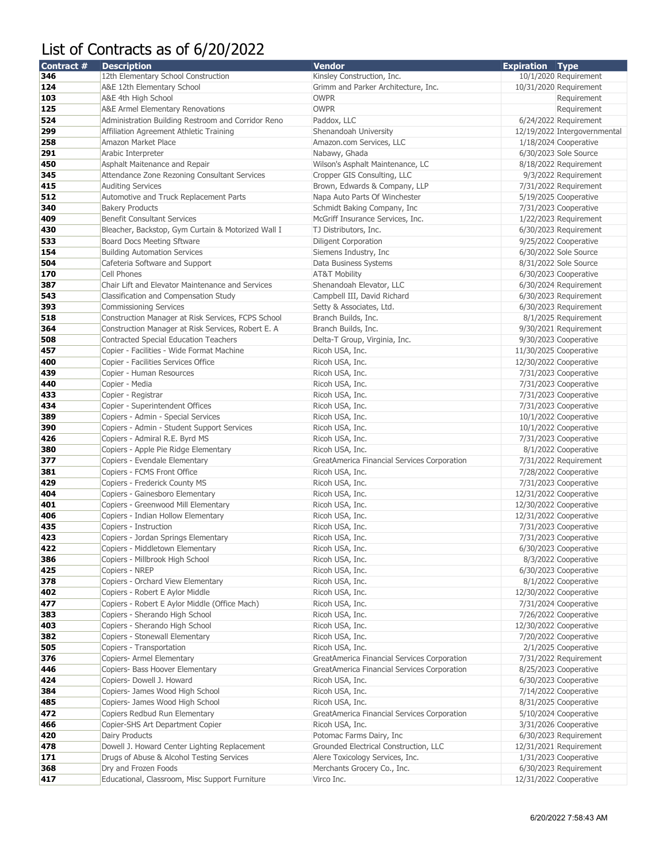## List of Contracts as of 6/20/2022

| Contract # | <b>Description</b>                                 | <b>Vendor</b>                               | <b>Expiration Type</b> |                              |
|------------|----------------------------------------------------|---------------------------------------------|------------------------|------------------------------|
| 346        | 12th Elementary School Construction                | Kinsley Construction, Inc.                  |                        | 10/1/2020 Requirement        |
| 124        | A&E 12th Elementary School                         | Grimm and Parker Architecture, Inc.         |                        | 10/31/2020 Requirement       |
| 103        | A&E 4th High School                                | <b>OWPR</b>                                 |                        | Requirement                  |
| 125        | A&E Armel Elementary Renovations                   | <b>OWPR</b>                                 |                        | Requirement                  |
| 524        | Administration Building Restroom and Corridor Reno | Paddox, LLC                                 |                        | 6/24/2022 Requirement        |
| 299        | Affiliation Agreement Athletic Training            | Shenandoah University                       |                        | 12/19/2022 Intergovernmental |
| 258        | Amazon Market Place                                | Amazon.com Services, LLC                    |                        | 1/18/2024 Cooperative        |
| 291        | Arabic Interpreter                                 | Nabawy, Ghada                               |                        | 6/30/2023 Sole Source        |
| 450        | Asphalt Maitenance and Repair                      | Wilson's Asphalt Maintenance, LC            |                        | 8/18/2022 Requirement        |
| 345        | Attendance Zone Rezoning Consultant Services       | Cropper GIS Consulting, LLC                 |                        | 9/3/2022 Requirement         |
| 415        | <b>Auditing Services</b>                           | Brown, Edwards & Company, LLP               |                        | 7/31/2022 Requirement        |
| 512        | Automotive and Truck Replacement Parts             | Napa Auto Parts Of Winchester               |                        | 5/19/2025 Cooperative        |
| 340        | <b>Bakery Products</b>                             | Schmidt Baking Company, Inc.                |                        | 7/31/2023 Cooperative        |
| 409        | <b>Benefit Consultant Services</b>                 | McGriff Insurance Services, Inc.            |                        | 1/22/2023 Requirement        |
| 430        | Bleacher, Backstop, Gym Curtain & Motorized Wall I | TJ Distributors, Inc.                       |                        | 6/30/2023 Requirement        |
| 533        | Board Docs Meeting Sftware                         | <b>Diligent Corporation</b>                 |                        | 9/25/2022 Cooperative        |
| 154        | <b>Building Automation Services</b>                | Siemens Industry, Inc.                      |                        | 6/30/2022 Sole Source        |
| 504        | Cafeteria Software and Support                     | Data Business Systems                       |                        | 8/31/2022 Sole Source        |
| 170        | Cell Phones                                        | <b>AT&amp;T Mobility</b>                    |                        | 6/30/2023 Cooperative        |
| 387        | Chair Lift and Elevator Maintenance and Services   | Shenandoah Elevator, LLC                    |                        | 6/30/2024 Requirement        |
| 543        | Classification and Compensation Study              | Campbell III, David Richard                 |                        | 6/30/2023 Requirement        |
| 393        | <b>Commissioning Services</b>                      | Setty & Associates, Ltd.                    |                        | 6/30/2023 Requirement        |
| 518        | Construction Manager at Risk Services, FCPS School | Branch Builds, Inc.                         |                        | 8/1/2025 Requirement         |
| 364        | Construction Manager at Risk Services, Robert E. A | Branch Builds, Inc.                         |                        | 9/30/2021 Requirement        |
| 508        | <b>Contracted Special Education Teachers</b>       | Delta-T Group, Virginia, Inc.               |                        | 9/30/2023 Cooperative        |
| 457        | Copier - Facilities - Wide Format Machine          | Ricoh USA, Inc.                             |                        | 11/30/2025 Cooperative       |
| 400        | Copier - Facilities Services Office                | Ricoh USA, Inc.                             |                        | 12/30/2022 Cooperative       |
| 439        | Copier - Human Resources                           | Ricoh USA, Inc.                             |                        | 7/31/2023 Cooperative        |
| 440        | Copier - Media                                     | Ricoh USA, Inc.                             |                        | 7/31/2023 Cooperative        |
| 433        | Copier - Registrar                                 | Ricoh USA, Inc.                             |                        | 7/31/2023 Cooperative        |
| 434        | Copier - Superintendent Offices                    | Ricoh USA, Inc.                             |                        | 7/31/2023 Cooperative        |
| 389        | Copiers - Admin - Special Services                 | Ricoh USA, Inc.                             |                        | 10/1/2022 Cooperative        |
| 390        | Copiers - Admin - Student Support Services         | Ricoh USA, Inc.                             |                        | 10/1/2022 Cooperative        |
| 426        | Copiers - Admiral R.E. Byrd MS                     | Ricoh USA, Inc.                             |                        | 7/31/2023 Cooperative        |
| 380        | Copiers - Apple Pie Ridge Elementary               | Ricoh USA, Inc.                             |                        | 8/1/2022 Cooperative         |
| 377        | Copiers - Evendale Elementary                      | GreatAmerica Financial Services Corporation |                        | 7/31/2022 Requirement        |
| 381        | Copiers - FCMS Front Office                        | Ricoh USA, Inc.                             |                        | 7/28/2022 Cooperative        |
| 429        | Copiers - Frederick County MS                      | Ricoh USA, Inc.                             |                        | 7/31/2023 Cooperative        |
| 404        | Copiers - Gainesboro Elementary                    | Ricoh USA, Inc.                             |                        | 12/31/2022 Cooperative       |
| 401        | Copiers - Greenwood Mill Elementary                | Ricoh USA, Inc.                             |                        | 12/30/2022 Cooperative       |
| 406        | Copiers - Indian Hollow Elementary                 | Ricoh USA, Inc.                             |                        | 12/31/2022 Cooperative       |
| 435        | Copiers - Instruction                              | Ricoh USA, Inc.                             |                        | 7/31/2023 Cooperative        |
| 423        | Copiers - Jordan Springs Elementary                | Ricoh USA, Inc.                             |                        | 7/31/2023 Cooperative        |
| 422        | Copiers - Middletown Elementary                    | Ricoh USA, Inc.                             |                        | 6/30/2023 Cooperative        |
| 386        | Copiers - Millbrook High School                    | Ricoh USA, Inc.                             |                        | 8/3/2022 Cooperative         |
| 425        | Copiers - NREP                                     | Ricoh USA, Inc.                             |                        | 6/30/2023 Cooperative        |
| 378        | Copiers - Orchard View Elementary                  | Ricoh USA, Inc.                             |                        | 8/1/2022 Cooperative         |
| 402        | Copiers - Robert E Aylor Middle                    | Ricoh USA, Inc.                             |                        | 12/30/2022 Cooperative       |
| 477        | Copiers - Robert E Aylor Middle (Office Mach)      | Ricoh USA, Inc.                             |                        | 7/31/2024 Cooperative        |
| 383        | Copiers - Sherando High School                     | Ricoh USA, Inc.                             |                        | 7/26/2022 Cooperative        |
| 403        | Copiers - Sherando High School                     | Ricoh USA, Inc.                             |                        | 12/30/2022 Cooperative       |
| 382        | Copiers - Stonewall Elementary                     | Ricoh USA, Inc.                             |                        | 7/20/2022 Cooperative        |
| 505        | Copiers - Transportation                           | Ricoh USA, Inc.                             |                        | 2/1/2025 Cooperative         |
| 376        | Copiers- Armel Elementary                          | GreatAmerica Financial Services Corporation |                        | 7/31/2022 Requirement        |
| 446        | Copiers- Bass Hoover Elementary                    | GreatAmerica Financial Services Corporation |                        | 8/25/2023 Cooperative        |
| 424        | Copiers- Dowell J. Howard                          | Ricoh USA, Inc.                             |                        | 6/30/2023 Cooperative        |
| 384        | Copiers- James Wood High School                    | Ricoh USA, Inc.                             |                        | 7/14/2022 Cooperative        |
| 485        | Copiers- James Wood High School                    | Ricoh USA, Inc.                             |                        | 8/31/2025 Cooperative        |
| 472        | Copiers Redbud Run Elementary                      | GreatAmerica Financial Services Corporation |                        | 5/10/2024 Cooperative        |
| 466        | Copier-SHS Art Department Copier                   | Ricoh USA, Inc.                             |                        | 3/31/2026 Cooperative        |
| 420        | Dairy Products                                     | Potomac Farms Dairy, Inc.                   |                        | 6/30/2023 Requirement        |
| 478        | Dowell J. Howard Center Lighting Replacement       | Grounded Electrical Construction, LLC       |                        | 12/31/2021 Requirement       |
| 171        | Drugs of Abuse & Alcohol Testing Services          | Alere Toxicology Services, Inc.             |                        | 1/31/2023 Cooperative        |
| 368        | Dry and Frozen Foods                               | Merchants Grocery Co., Inc.                 |                        | 6/30/2023 Requirement        |
| 417        | Educational, Classroom, Misc Support Furniture     | Virco Inc.                                  |                        | 12/31/2022 Cooperative       |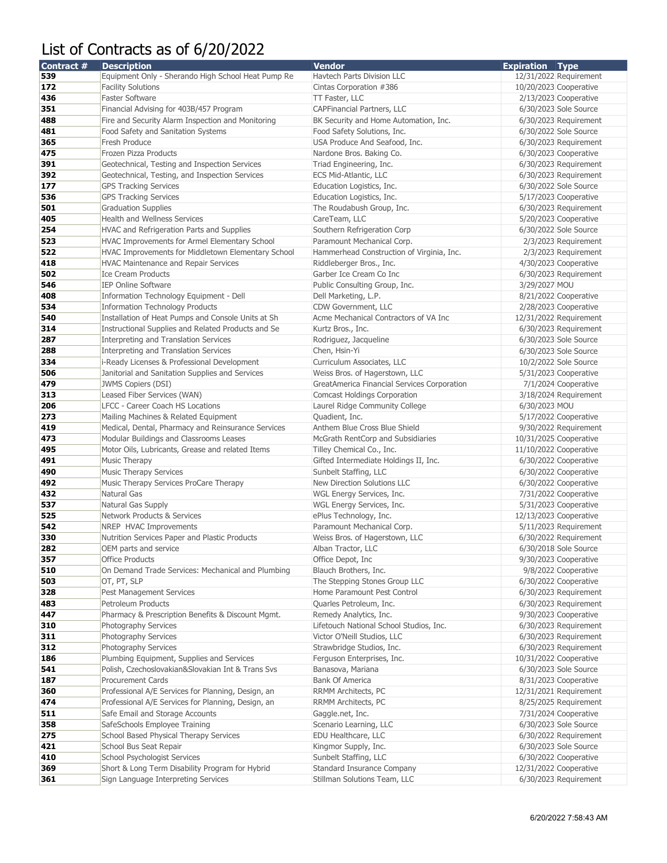## List of Contracts as of 6/20/2022

| Contract # | <b>Description</b>                                                          | Vendor                                        | <b>Expiration Type</b> |                                                 |
|------------|-----------------------------------------------------------------------------|-----------------------------------------------|------------------------|-------------------------------------------------|
| 539        | Equipment Only - Sherando High School Heat Pump Re                          | Havtech Parts Division LLC                    |                        | 12/31/2022 Requirement                          |
| 172        | <b>Facility Solutions</b>                                                   | Cintas Corporation #386                       | 10/20/2023 Cooperative |                                                 |
| 436        | <b>Faster Software</b>                                                      | TT Faster, LLC                                |                        | 2/13/2023 Cooperative                           |
| 351        | Financial Advising for 403B/457 Program                                     | CAPFinancial Partners, LLC                    |                        | 6/30/2023 Sole Source                           |
| 488        | Fire and Security Alarm Inspection and Monitoring                           | BK Security and Home Automation, Inc.         |                        | 6/30/2023 Requirement                           |
| 481        | Food Safety and Sanitation Systems                                          | Food Safety Solutions, Inc.                   |                        | 6/30/2022 Sole Source                           |
| 365        | Fresh Produce                                                               | USA Produce And Seafood, Inc.                 |                        | 6/30/2023 Requirement                           |
| 475        | Frozen Pizza Products                                                       | Nardone Bros. Baking Co.                      |                        | 6/30/2023 Cooperative                           |
| 391        | Geotechnical, Testing and Inspection Services                               | Triad Engineering, Inc.                       |                        | 6/30/2023 Requirement                           |
| 392        | Geotechnical, Testing, and Inspection Services                              | <b>ECS Mid-Atlantic, LLC</b>                  |                        | 6/30/2023 Requirement                           |
| 177        | <b>GPS Tracking Services</b>                                                | Education Logistics, Inc.                     |                        | 6/30/2022 Sole Source                           |
| 536        | <b>GPS Tracking Services</b>                                                | Education Logistics, Inc.                     |                        | 5/17/2023 Cooperative                           |
| 501        | <b>Graduation Supplies</b>                                                  | The Roudabush Group, Inc.                     |                        | 6/30/2023 Requirement                           |
| 405        | <b>Health and Wellness Services</b>                                         | CareTeam, LLC                                 |                        | 5/20/2023 Cooperative                           |
| 254        | HVAC and Refrigeration Parts and Supplies                                   | Southern Refrigeration Corp                   |                        | 6/30/2022 Sole Source                           |
| 523        | HVAC Improvements for Armel Elementary School                               | Paramount Mechanical Corp.                    |                        | 2/3/2023 Requirement                            |
| 522        | HVAC Improvements for Middletown Elementary School                          | Hammerhead Construction of Virginia, Inc.     |                        | 2/3/2023 Requirement                            |
| 418        | HVAC Maintenance and Repair Services                                        | Riddleberger Bros., Inc.                      |                        | 4/30/2023 Cooperative                           |
| 502        | <b>Ice Cream Products</b>                                                   | Garber Ice Cream Co Inc                       |                        | 6/30/2023 Requirement                           |
| 546        | <b>IEP Online Software</b>                                                  | Public Consulting Group, Inc.                 | 3/29/2027 MOU          |                                                 |
| 408        | Information Technology Equipment - Dell                                     | Dell Marketing, L.P.                          |                        | 8/21/2022 Cooperative                           |
| 534        | Information Technology Products                                             | CDW Government, LLC                           |                        | 2/28/2023 Cooperative                           |
| 540        | Installation of Heat Pumps and Console Units at Sh                          | Acme Mechanical Contractors of VA Inc         |                        | 12/31/2022 Requirement                          |
| 314        | Instructional Supplies and Related Products and Se                          | Kurtz Bros., Inc.                             |                        | 6/30/2023 Requirement                           |
| 287        | Interpreting and Translation Services                                       | Rodriguez, Jacqueline                         |                        | 6/30/2023 Sole Source                           |
| 288        | Interpreting and Translation Services                                       | Chen, Hsin-Yi                                 |                        | 6/30/2023 Sole Source                           |
| 334        | i-Ready Licenses & Professional Development                                 | Curriculum Associates, LLC                    |                        | 10/2/2022 Sole Source                           |
| 506        | Janitorial and Sanitation Supplies and Services                             | Weiss Bros. of Hagerstown, LLC                |                        | 5/31/2023 Cooperative                           |
| 479        | <b>JWMS Copiers (DSI)</b>                                                   | GreatAmerica Financial Services Corporation   |                        | 7/1/2024 Cooperative                            |
| 313        | Leased Fiber Services (WAN)                                                 | <b>Comcast Holdings Corporation</b>           |                        | 3/18/2024 Requirement                           |
| 206        | <b>LFCC - Career Coach HS Locations</b>                                     | Laurel Ridge Community College                | 6/30/2023 MOU          |                                                 |
| 273        | Mailing Machines & Related Equipment                                        | Quadient, Inc.                                |                        | 5/17/2022 Cooperative                           |
| 419        | Medical, Dental, Pharmacy and Reinsurance Services                          | Anthem Blue Cross Blue Shield                 |                        | 9/30/2022 Requirement                           |
| 473        | Modular Buildings and Classrooms Leases                                     | McGrath RentCorp and Subsidiaries             | 10/31/2025 Cooperative |                                                 |
| 495        | Motor Oils, Lubricants, Grease and related Items                            | Tilley Chemical Co., Inc.                     | 11/10/2022 Cooperative |                                                 |
| 491        | <b>Music Therapy</b>                                                        | Gifted Intermediate Holdings II, Inc.         |                        | 6/30/2022 Cooperative                           |
| 490        | <b>Music Therapy Services</b>                                               | Sunbelt Staffing, LLC                         |                        | 6/30/2022 Cooperative                           |
| 492        | Music Therapy Services ProCare Therapy                                      | New Direction Solutions LLC                   |                        | 6/30/2022 Cooperative                           |
| 432        | Natural Gas                                                                 | WGL Energy Services, Inc.                     |                        | 7/31/2022 Cooperative                           |
| 537        | Natural Gas Supply                                                          | WGL Energy Services, Inc.                     |                        | 5/31/2023 Cooperative                           |
| 525        | <b>Network Products &amp; Services</b>                                      | ePlus Technology, Inc.                        | 12/13/2023 Cooperative |                                                 |
| 542        | NREP HVAC Improvements                                                      | Paramount Mechanical Corp.                    |                        | 5/11/2023 Requirement                           |
| 330        | Nutrition Services Paper and Plastic Products                               | Weiss Bros. of Hagerstown, LLC                |                        | 6/30/2022 Requirement                           |
| 282        | OEM parts and service                                                       | Alban Tractor, LLC                            |                        | 6/30/2018 Sole Source                           |
| 357        |                                                                             | Office Depot, Inc.                            |                        | 9/30/2023 Cooperative                           |
| 510        | <b>Office Products</b><br>On Demand Trade Services: Mechanical and Plumbing | Blauch Brothers, Inc.                         |                        | 9/8/2022 Cooperative                            |
| 503        | OT, PT, SLP                                                                 | The Stepping Stones Group LLC                 |                        | 6/30/2022 Cooperative                           |
| 328        | Pest Management Services                                                    | Home Paramount Pest Control                   |                        | 6/30/2023 Requirement                           |
| 483        | Petroleum Products                                                          | Quarles Petroleum, Inc.                       |                        | 6/30/2023 Requirement                           |
| 447        | Pharmacy & Prescription Benefits & Discount Mgmt.                           | Remedy Analytics, Inc.                        |                        | 9/30/2023 Cooperative                           |
| 310        | Photography Services                                                        | Lifetouch National School Studios, Inc.       |                        | 6/30/2023 Requirement                           |
| 311        | Photography Services                                                        | Victor O'Neill Studios, LLC                   |                        | 6/30/2023 Requirement                           |
| 312        | Photography Services                                                        | Strawbridge Studios, Inc.                     |                        | 6/30/2023 Requirement                           |
| 186        | Plumbing Equipment, Supplies and Services                                   | Ferguson Enterprises, Inc.                    | 10/31/2022 Cooperative |                                                 |
| 541        | Polish, Czechoslovakian&Slovakian Int & Trans Svs                           | Banasova, Mariana                             |                        | 6/30/2023 Sole Source                           |
| 187        | Procurement Cards                                                           | <b>Bank Of America</b>                        |                        | 8/31/2023 Cooperative                           |
| 360        | Professional A/E Services for Planning, Design, an                          | RRMM Architects, PC                           |                        |                                                 |
| 474        | Professional A/E Services for Planning, Design, an                          | RRMM Architects, PC                           |                        | 12/31/2021 Requirement<br>8/25/2025 Requirement |
|            | Safe Email and Storage Accounts                                             |                                               |                        | 7/31/2024 Cooperative                           |
| 511<br>358 | SafeSchools Employee Training                                               | Gaggle.net, Inc.<br>Scenario Learning, LLC    |                        | 6/30/2023 Sole Source                           |
| 275        | School Based Physical Therapy Services                                      | EDU Healthcare, LLC                           |                        | 6/30/2022 Requirement                           |
|            |                                                                             |                                               |                        |                                                 |
| 421<br>410 | School Bus Seat Repair<br>School Psychologist Services                      | Kingmor Supply, Inc.<br>Sunbelt Staffing, LLC |                        | 6/30/2023 Sole Source<br>6/30/2022 Cooperative  |
|            |                                                                             |                                               |                        |                                                 |
| 369        | Short & Long Term Disability Program for Hybrid                             | <b>Standard Insurance Company</b>             | 12/31/2022 Cooperative |                                                 |
| 361        | Sign Language Interpreting Services                                         | Stillman Solutions Team, LLC                  |                        | 6/30/2023 Requirement                           |